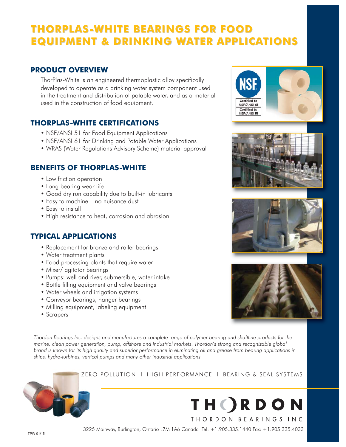# **THORPLAS-WHITE BEARINGS FOR FOOD THORPLAS-WHITE BEARINGS FOR FOOD EQUIPMENT & DRINKING WATER APPLICATIONS EQUIPMENT & DRINKING WATER APPLICATIONS**

## **PRODUCT OVERVIEW**

ThorPlas-White is an engineered thermoplastic alloy specifically developed to operate as a drinking water system component used in the treatment and distribution of potable water, and as a material used in the construction of food equipment.

# **THORPLAS-WHITE CERTIFICATIONS**

- NSF/ANSI 51 for Food Equipment Applications
- NSF/ANSI 61 for Drinking and Potable Water Applications
- WRAS (Water Regulations Advisory Scheme) material approval

# **BENEFITS OF THORPLAS-WHITE**

- Low friction operation
- Long bearing wear life
- Good dry run capability due to built-in lubricants
- Easy to machine no nuisance dust
- Easy to install
- High resistance to heat, corrosion and abrasion

# **TYPICAL APPLICATIONS**

- Replacement for bronze and roller bearings
- Water treatment plants
- Food processing plants that require water
- Mixer/ agitator bearings
- Pumps: well and river, submersible, water intake
- Bottle filling equipment and valve bearings
- Water wheels and irrigation systems
- Conveyor bearings, hanger bearings
- Milling equipment, labeling equipment
- Scrapers

*Thordon Bearings Inc. designs and manufactures a complete range of polymer bearing and shaftline products for the marine, clean power generation, pump, offshore and industrial markets. Thordon's strong and recognizable global brand is known for its high quality and superior performance in eliminating oil and grease from bearing applications in ships, hydro-turbines, vertical pumps and many other industrial applications.*



### ZERO POLLUTION l HIGH PERFORMANCE l BEARING & SEAL SYSTEMS



Certified to NSF/ANSI 61 Certified to NSF/ANSI 51

3225 Mainway, Burlington, Ontario L7M 1A6 Canada Tel: +1.905.335.1440 Fax: +1.905.335.4033 TPW 01/15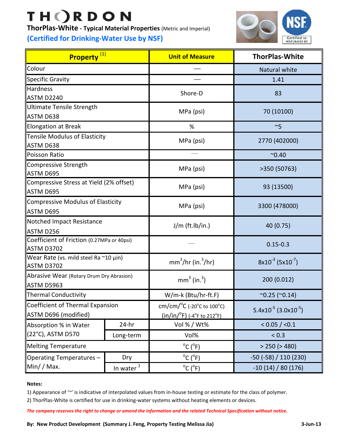# **THORDON**

**ThorPlas‐White ‐ Typical Material Properties** (Metric and Imperial)

# **(Certified for Drinking‐Water Use by NSF)**



| Property <sup>(1)</sup>                                         |              | <b>Unit of Measure</b>                                                                                          | <b>ThorPlas-White</b>                        |  |
|-----------------------------------------------------------------|--------------|-----------------------------------------------------------------------------------------------------------------|----------------------------------------------|--|
| Colour                                                          |              |                                                                                                                 | Natural white                                |  |
| Specific Gravity                                                |              |                                                                                                                 | 1.41                                         |  |
| <b>Hardness</b>                                                 |              | Shore-D                                                                                                         | 83                                           |  |
| ASTM D2240                                                      |              |                                                                                                                 |                                              |  |
| Ultimate Tensile Strength<br>ASTM D638                          |              | MPa (psi)                                                                                                       | 70 (10100)                                   |  |
| <b>Elongation at Break</b>                                      |              | %                                                                                                               | $~\sim$ 5                                    |  |
| Tensile Modulus of Elasticity<br>ASTM D638                      |              | MPa (psi)                                                                                                       | 2770 (402000)                                |  |
| Poisson Ratio                                                   |              |                                                                                                                 | $^{\sim}0.40$                                |  |
| Compressive Strength<br>ASTM D695                               |              | MPa (psi)                                                                                                       | >350 (50763)                                 |  |
| Compressive Stress at Yield (2% offset)<br>ASTM D695            |              | MPa (psi)                                                                                                       | 93 (13500)                                   |  |
| Compressive Modulus of Elasticity<br>ASTM D695                  |              | MPa (psi)                                                                                                       | 3300 (478000)                                |  |
| Notched Impact Resistance<br>ASTM D256                          |              | $J/m$ (ft.lb/in.)                                                                                               | 40 (0.75)                                    |  |
| Coefficient of Friction (0.27MPa or 40psi)<br><b>ASTM D3702</b> |              |                                                                                                                 | $0.15 - 0.3$                                 |  |
| Wear Rate (vs. mild steel Ra ~10 µin)<br>ASTM D3702             |              | $mm3/hr$ (in. $3/hr$ )                                                                                          | $8x10^{-3}$ (5x10 <sup>-7</sup> )            |  |
| Abrasive Wear (Rotary Drum Dry Abrasion)<br>ASTM D5963          |              | $mm3$ (in. <sup>3</sup> )<br>200 (0.012)                                                                        |                                              |  |
| Thermal Conductivity                                            |              | W/m-k (Btu/hr-ft.F)                                                                                             | $^{\sim}0.25$ ( $^{\sim}0.14$ )              |  |
| Coefficient of Thermal Expansion<br>ASTM D696 (modified)        |              | cm/cm/ $^{\circ}$ C (-20 $^{\circ}$ c to 100 $^{\circ}$ C)<br>$(in/in/{}^{0}F)$ (-4 ${}^{0}F$ to 212 ${}^{0}F)$ | 5.4x10 <sup>-5</sup> (3.0x10 <sup>-5</sup> ) |  |
| Absorption % in Water<br>(22°C), ASTM D570                      | $24-hr$      | Vol % / Wt%                                                                                                     | < 0.05 / < 0.1                               |  |
|                                                                 | Long-term    | Vol%                                                                                                            | < 0.3                                        |  |
| <b>Melting Temperature</b>                                      |              | $^{\circ}$ C ( $^{\circ}$ F)<br>> 250 (> 480)                                                                   |                                              |  |
| Operating Temperatures -<br>$Min/$ / Max.                       | Dry          | $^{\circ}$ C ( $^{\circ}$ F)                                                                                    | $-50$ ( $-58$ ) / 110 (230)                  |  |
|                                                                 | In water $2$ | $^{\circ}$ C ( $^{\circ}$ F)                                                                                    | $-10(14)/80(176)$                            |  |

#### **Notes:**

1) Appearance of '~' is indicative of interpolated values from in-house testing or estimate for the class of polymer.

2) ThorPlas‐White is certified for use in drinking‐water systems without heating elements or devices.

The company reserves the right to change or amend the information and the related Technical Specification without notice.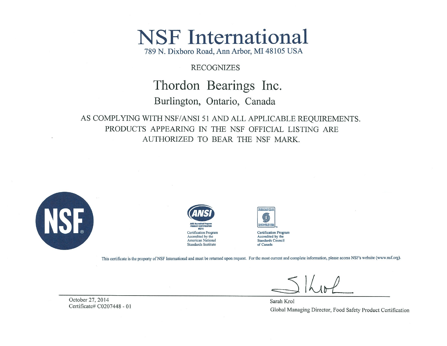# **NSF** International

789 N. Dixboro Road, Ann Arbor, MI 48105 USA

## **RECOGNIZES**

# Thordon Bearings Inc.

# Burlington, Ontario, Canada

AS COMPLYING WITH NSF/ANSI 51 AND ALL APPLICABLE REQUIREMENTS. PRODUCTS APPEARING IN THE NSF OFFICIAL LISTING ARE AUTHORIZED TO BEAR THE NSF MARK.







**Certification Program** Accredited by the **Standards Council** of Canada

This certificate is the property of NSF International and must be returned upon request. For the most current and complete information, please access NSF's website (www.nsf.org).

October 27, 2014 Certificate# C0207448 - 01

Sarah Krol Global Managing Director, Food Safety Product Certification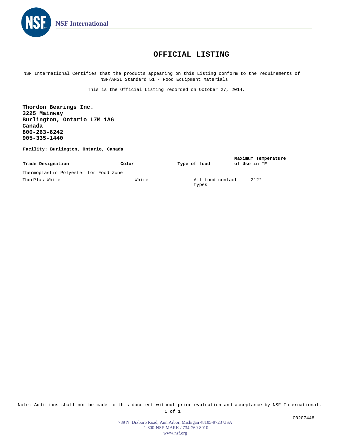

### **OFFICIAL LISTING**

NSF International Certifies that the products appearing on this Listing conform to the requirements of NSF/ANSI Standard 51 - Food Equipment Materials

This is the Official Listing recorded on October 27, 2014.

**Thordon Bearings Inc. 3225 Mainway Burlington, Ontario L7M 1A6 Canada 800-263-6242 905-335-1440**

**Facility: Burlington, Ontario, Canada**

| Trade Designation                     | Color | Type of food              | Maximum Temperature<br>of Use in <sup>o</sup> F |
|---------------------------------------|-------|---------------------------|-------------------------------------------------|
| Thermoplastic Polyester for Food Zone |       |                           |                                                 |
| ThorPlas-White                        | White | All food contact<br>types | 212°                                            |

Note: Additions shall not be made to this document without prior evaluation and acceptance by NSF International. 1 of 1